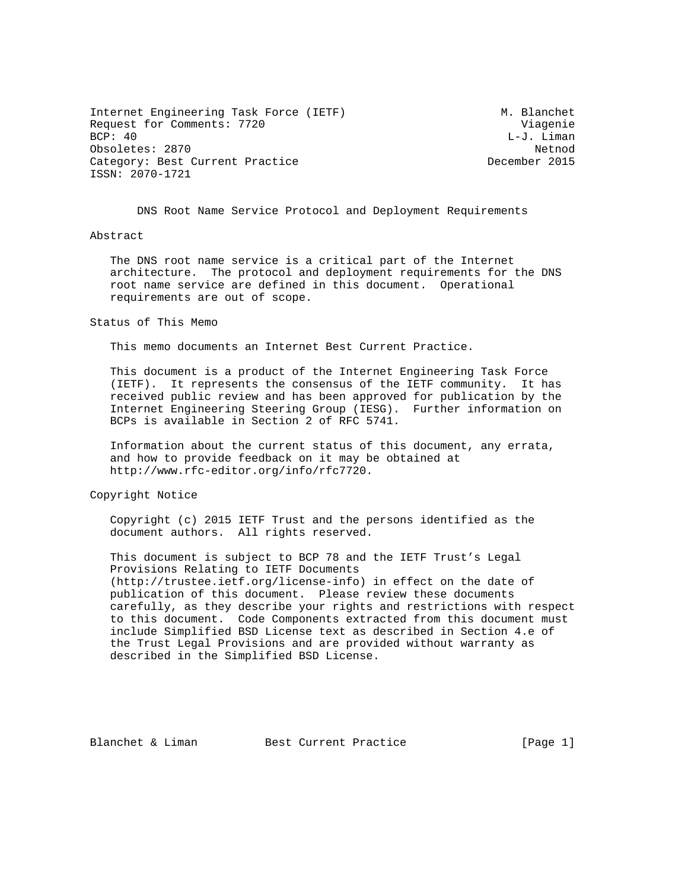Internet Engineering Task Force (IETF) M. Blanchet Request for Comments: 7720 Viagenie<br>BCP: 40 Viagenie Obsoletes: 2870 Netnod Category: Best Current Practice ISSN: 2070-1721

L-J. Liman

DNS Root Name Service Protocol and Deployment Requirements

## Abstract

 The DNS root name service is a critical part of the Internet architecture. The protocol and deployment requirements for the DNS root name service are defined in this document. Operational requirements are out of scope.

#### Status of This Memo

This memo documents an Internet Best Current Practice.

 This document is a product of the Internet Engineering Task Force (IETF). It represents the consensus of the IETF community. It has received public review and has been approved for publication by the Internet Engineering Steering Group (IESG). Further information on BCPs is available in Section 2 of RFC 5741.

 Information about the current status of this document, any errata, and how to provide feedback on it may be obtained at http://www.rfc-editor.org/info/rfc7720.

Copyright Notice

 Copyright (c) 2015 IETF Trust and the persons identified as the document authors. All rights reserved.

 This document is subject to BCP 78 and the IETF Trust's Legal Provisions Relating to IETF Documents (http://trustee.ietf.org/license-info) in effect on the date of publication of this document. Please review these documents carefully, as they describe your rights and restrictions with respect to this document. Code Components extracted from this document must include Simplified BSD License text as described in Section 4.e of the Trust Legal Provisions and are provided without warranty as described in the Simplified BSD License.

Blanchet & Liman Best Current Practice [Page 1]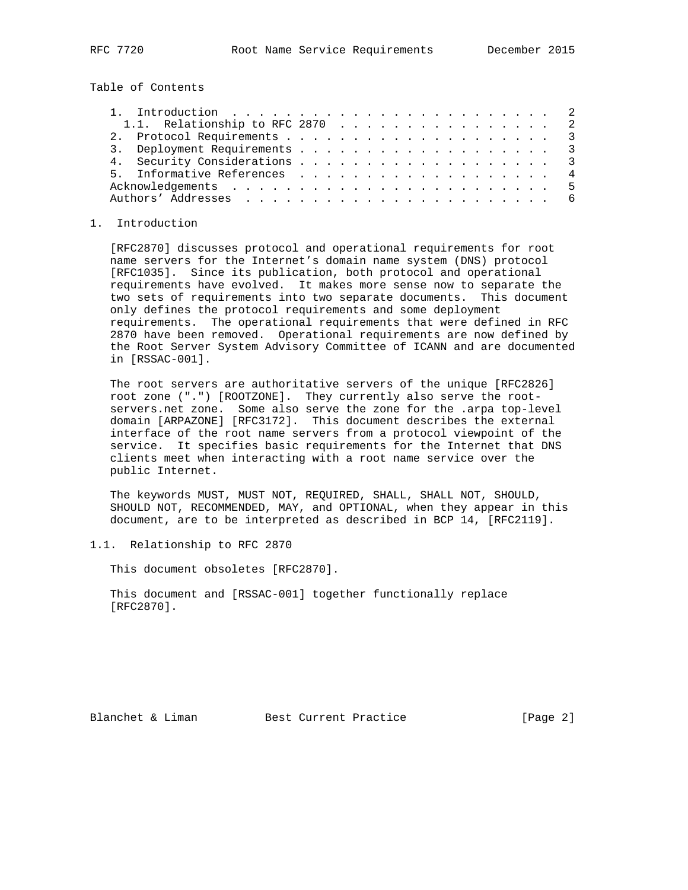Table of Contents

| 1.1. Relationship to RFC 2870 2 |  |  |  |  |  |  |  |  |  |  |
|---------------------------------|--|--|--|--|--|--|--|--|--|--|
|                                 |  |  |  |  |  |  |  |  |  |  |
|                                 |  |  |  |  |  |  |  |  |  |  |
|                                 |  |  |  |  |  |  |  |  |  |  |
| 5. Informative References 4     |  |  |  |  |  |  |  |  |  |  |
|                                 |  |  |  |  |  |  |  |  |  |  |
|                                 |  |  |  |  |  |  |  |  |  |  |

#### 1. Introduction

 [RFC2870] discusses protocol and operational requirements for root name servers for the Internet's domain name system (DNS) protocol [RFC1035]. Since its publication, both protocol and operational requirements have evolved. It makes more sense now to separate the two sets of requirements into two separate documents. This document only defines the protocol requirements and some deployment requirements. The operational requirements that were defined in RFC 2870 have been removed. Operational requirements are now defined by the Root Server System Advisory Committee of ICANN and are documented in [RSSAC-001].

 The root servers are authoritative servers of the unique [RFC2826] root zone (".") [ROOTZONE]. They currently also serve the root servers.net zone. Some also serve the zone for the .arpa top-level domain [ARPAZONE] [RFC3172]. This document describes the external interface of the root name servers from a protocol viewpoint of the service. It specifies basic requirements for the Internet that DNS clients meet when interacting with a root name service over the public Internet.

 The keywords MUST, MUST NOT, REQUIRED, SHALL, SHALL NOT, SHOULD, SHOULD NOT, RECOMMENDED, MAY, and OPTIONAL, when they appear in this document, are to be interpreted as described in BCP 14, [RFC2119].

## 1.1. Relationship to RFC 2870

This document obsoletes [RFC2870].

 This document and [RSSAC-001] together functionally replace [RFC2870].

Blanchet & Liman Best Current Practice [Page 2]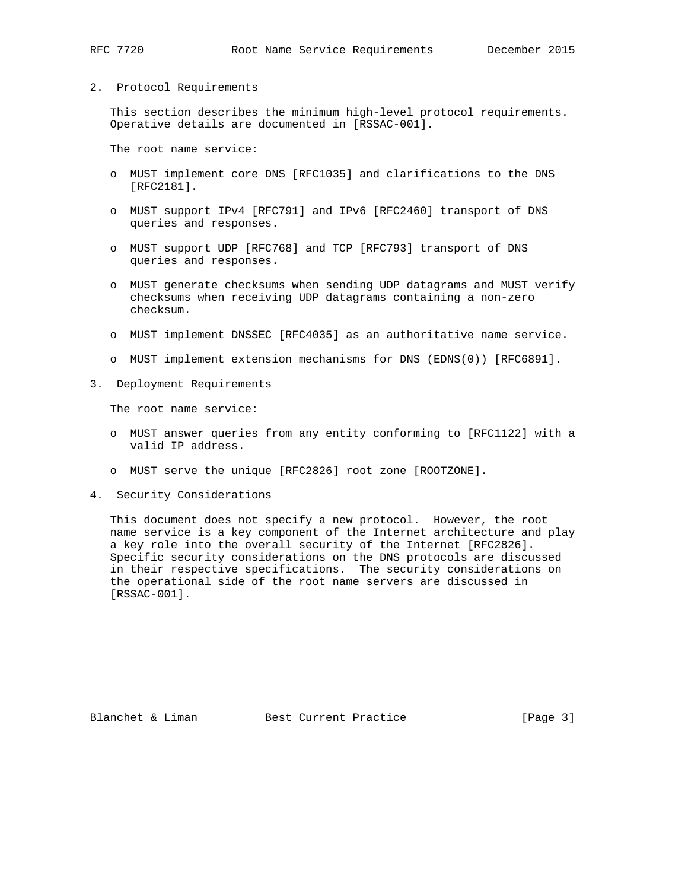# 2. Protocol Requirements

 This section describes the minimum high-level protocol requirements. Operative details are documented in [RSSAC-001].

The root name service:

- o MUST implement core DNS [RFC1035] and clarifications to the DNS [RFC2181].
- o MUST support IPv4 [RFC791] and IPv6 [RFC2460] transport of DNS queries and responses.
- o MUST support UDP [RFC768] and TCP [RFC793] transport of DNS queries and responses.
- o MUST generate checksums when sending UDP datagrams and MUST verify checksums when receiving UDP datagrams containing a non-zero checksum.
- o MUST implement DNSSEC [RFC4035] as an authoritative name service.
- o MUST implement extension mechanisms for DNS (EDNS(0)) [RFC6891].
- 3. Deployment Requirements

The root name service:

- o MUST answer queries from any entity conforming to [RFC1122] with a valid IP address.
- o MUST serve the unique [RFC2826] root zone [ROOTZONE].
- 4. Security Considerations

 This document does not specify a new protocol. However, the root name service is a key component of the Internet architecture and play a key role into the overall security of the Internet [RFC2826]. Specific security considerations on the DNS protocols are discussed in their respective specifications. The security considerations on the operational side of the root name servers are discussed in [RSSAC-001].

Blanchet & Liman Best Current Practice [Page 3]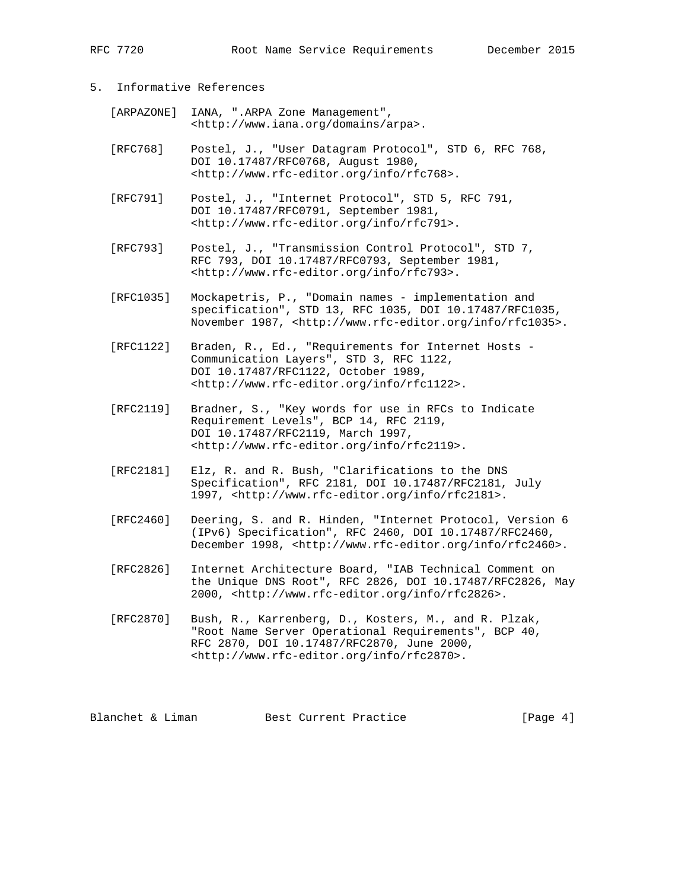## 5. Informative References

| [ARPAZONE] IANA, ".ARPA Zone Management",           |
|-----------------------------------------------------|
| <http: arpa="" domains="" www.iana.org="">.</http:> |

- [RFC768] Postel, J., "User Datagram Protocol", STD 6, RFC 768, DOI 10.17487/RFC0768, August 1980, <http://www.rfc-editor.org/info/rfc768>.
- [RFC791] Postel, J., "Internet Protocol", STD 5, RFC 791, DOI 10.17487/RFC0791, September 1981, <http://www.rfc-editor.org/info/rfc791>.
- [RFC793] Postel, J., "Transmission Control Protocol", STD 7, RFC 793, DOI 10.17487/RFC0793, September 1981, <http://www.rfc-editor.org/info/rfc793>.
- [RFC1035] Mockapetris, P., "Domain names implementation and specification", STD 13, RFC 1035, DOI 10.17487/RFC1035, November 1987, <http://www.rfc-editor.org/info/rfc1035>.
- [RFC1122] Braden, R., Ed., "Requirements for Internet Hosts Communication Layers", STD 3, RFC 1122, DOI 10.17487/RFC1122, October 1989, <http://www.rfc-editor.org/info/rfc1122>.
- [RFC2119] Bradner, S., "Key words for use in RFCs to Indicate Requirement Levels", BCP 14, RFC 2119, DOI 10.17487/RFC2119, March 1997, <http://www.rfc-editor.org/info/rfc2119>.
- [RFC2181] Elz, R. and R. Bush, "Clarifications to the DNS Specification", RFC 2181, DOI 10.17487/RFC2181, July 1997, <http://www.rfc-editor.org/info/rfc2181>.
- [RFC2460] Deering, S. and R. Hinden, "Internet Protocol, Version 6 (IPv6) Specification", RFC 2460, DOI 10.17487/RFC2460, December 1998, <http://www.rfc-editor.org/info/rfc2460>.
- [RFC2826] Internet Architecture Board, "IAB Technical Comment on the Unique DNS Root", RFC 2826, DOI 10.17487/RFC2826, May 2000, <http://www.rfc-editor.org/info/rfc2826>.
- [RFC2870] Bush, R., Karrenberg, D., Kosters, M., and R. Plzak, "Root Name Server Operational Requirements", BCP 40, RFC 2870, DOI 10.17487/RFC2870, June 2000, <http://www.rfc-editor.org/info/rfc2870>.

Blanchet & Liman Best Current Practice [Page 4]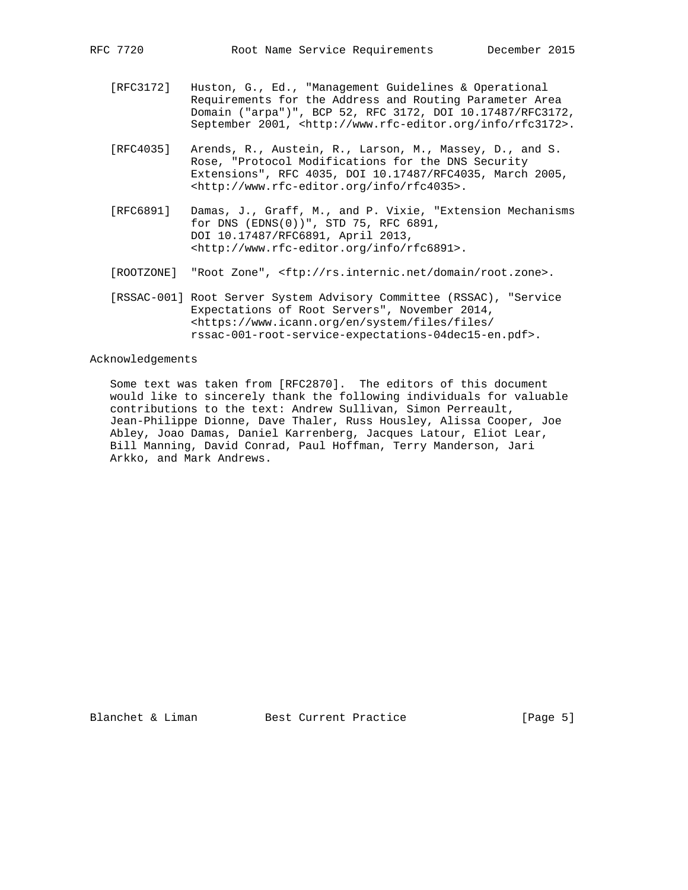- [RFC3172] Huston, G., Ed., "Management Guidelines & Operational Requirements for the Address and Routing Parameter Area Domain ("arpa")", BCP 52, RFC 3172, DOI 10.17487/RFC3172, September 2001, <http://www.rfc-editor.org/info/rfc3172>.
- [RFC4035] Arends, R., Austein, R., Larson, M., Massey, D., and S. Rose, "Protocol Modifications for the DNS Security Extensions", RFC 4035, DOI 10.17487/RFC4035, March 2005, <http://www.rfc-editor.org/info/rfc4035>.
- [RFC6891] Damas, J., Graff, M., and P. Vixie, "Extension Mechanisms for DNS (EDNS(0))", STD 75, RFC 6891, DOI 10.17487/RFC6891, April 2013, <http://www.rfc-editor.org/info/rfc6891>.
- [ROOTZONE] "Root Zone", <ftp://rs.internic.net/domain/root.zone>.
- [RSSAC-001] Root Server System Advisory Committee (RSSAC), "Service Expectations of Root Servers", November 2014, <https://www.icann.org/en/system/files/files/ rssac-001-root-service-expectations-04dec15-en.pdf>.

### Acknowledgements

 Some text was taken from [RFC2870]. The editors of this document would like to sincerely thank the following individuals for valuable contributions to the text: Andrew Sullivan, Simon Perreault, Jean-Philippe Dionne, Dave Thaler, Russ Housley, Alissa Cooper, Joe Abley, Joao Damas, Daniel Karrenberg, Jacques Latour, Eliot Lear, Bill Manning, David Conrad, Paul Hoffman, Terry Manderson, Jari Arkko, and Mark Andrews.

Blanchet & Liman Best Current Practice [Page 5]